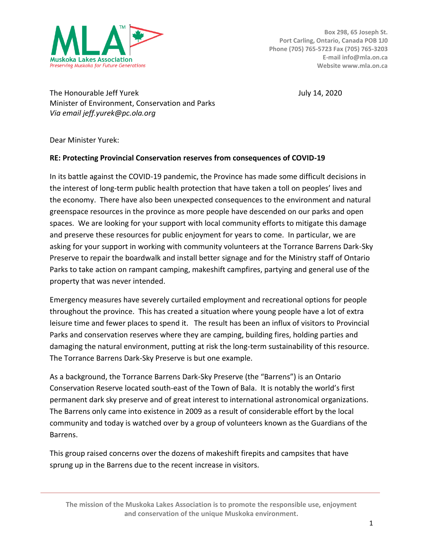

**Box 298, 65 Joseph St. Port Carling, Ontario, Canada POB 1J0 Phone (705) 765-5723 Fax (705) 765-3203 E-mail info@mla.on.ca Website www.mla.on.ca**

The Honourable Jeff Yurek **The Honourable Jeff Yurek** July 14, 2020 Minister of Environment, Conservation and Parks *Via email jeff.yurek@pc.ola.org*

Dear Minister Yurek:

## **RE: Protecting Provincial Conservation reserves from consequences of COVID-19**

In its battle against the COVID-19 pandemic, the Province has made some difficult decisions in the interest of long-term public health protection that have taken a toll on peoples' lives and the economy. There have also been unexpected consequences to the environment and natural greenspace resources in the province as more people have descended on our parks and open spaces. We are looking for your support with local community efforts to mitigate this damage and preserve these resources for public enjoyment for years to come. In particular, we are asking for your support in working with community volunteers at the Torrance Barrens Dark-Sky Preserve to repair the boardwalk and install better signage and for the Ministry staff of Ontario Parks to take action on rampant camping, makeshift campfires, partying and general use of the property that was never intended.

Emergency measures have severely curtailed employment and recreational options for people throughout the province. This has created a situation where young people have a lot of extra leisure time and fewer places to spend it. The result has been an influx of visitors to Provincial Parks and conservation reserves where they are camping, building fires, holding parties and damaging the natural environment, putting at risk the long-term sustainability of this resource. The Torrance Barrens Dark-Sky Preserve is but one example.

As a background, the Torrance Barrens Dark-Sky Preserve (the "Barrens") is an Ontario Conservation Reserve located south-east of the Town of Bala. It is notably the world's first permanent dark sky preserve and of great interest to international astronomical organizations. The Barrens only came into existence in 2009 as a result of considerable effort by the local community and today is watched over by a group of volunteers known as the Guardians of the Barrens.

This group raised concerns over the dozens of makeshift firepits and campsites that have sprung up in the Barrens due to the recent increase in visitors.

**The mission of the Muskoka Lakes Association is to promote the responsible use, enjoyment and conservation of the unique Muskoka environment.**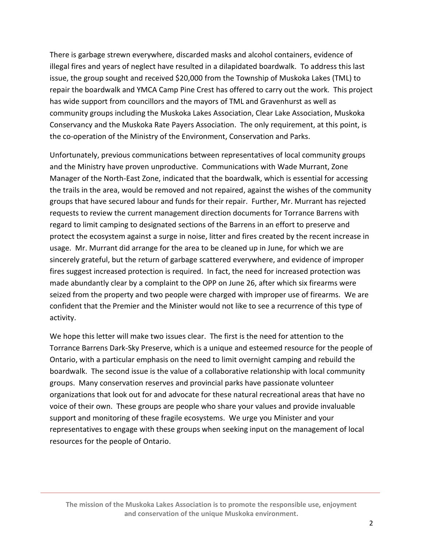There is garbage strewn everywhere, discarded masks and alcohol containers, evidence of illegal fires and years of neglect have resulted in a dilapidated boardwalk. To address this last issue, the group sought and received \$20,000 from the Township of Muskoka Lakes (TML) to repair the boardwalk and YMCA Camp Pine Crest has offered to carry out the work. This project has wide support from councillors and the mayors of TML and Gravenhurst as well as community groups including the Muskoka Lakes Association, Clear Lake Association, Muskoka Conservancy and the Muskoka Rate Payers Association. The only requirement, at this point, is the co-operation of the Ministry of the Environment, Conservation and Parks.

Unfortunately, previous communications between representatives of local community groups and the Ministry have proven unproductive. Communications with Wade Murrant, Zone Manager of the North-East Zone, indicated that the boardwalk, which is essential for accessing the trails in the area, would be removed and not repaired, against the wishes of the community groups that have secured labour and funds for their repair. Further, Mr. Murrant has rejected requests to review the current management direction documents for Torrance Barrens with regard to limit camping to designated sections of the Barrens in an effort to preserve and protect the ecosystem against a surge in noise, litter and fires created by the recent increase in usage. Mr. Murrant did arrange for the area to be cleaned up in June, for which we are sincerely grateful, but the return of garbage scattered everywhere, and evidence of improper fires suggest increased protection is required. In fact, the need for increased protection was made abundantly clear by a complaint to the OPP on June 26, after which six firearms were seized from the property and two people were charged with improper use of firearms. We are confident that the Premier and the Minister would not like to see a recurrence of this type of activity.

We hope this letter will make two issues clear. The first is the need for attention to the Torrance Barrens Dark-Sky Preserve, which is a unique and esteemed resource for the people of Ontario, with a particular emphasis on the need to limit overnight camping and rebuild the boardwalk. The second issue is the value of a collaborative relationship with local community groups. Many conservation reserves and provincial parks have passionate volunteer organizations that look out for and advocate for these natural recreational areas that have no voice of their own. These groups are people who share your values and provide invaluable support and monitoring of these fragile ecosystems. We urge you Minister and your representatives to engage with these groups when seeking input on the management of local resources for the people of Ontario.

**The mission of the Muskoka Lakes Association is to promote the responsible use, enjoyment and conservation of the unique Muskoka environment.**